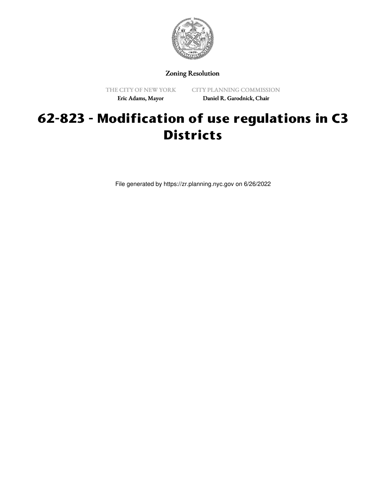

Zoning Resolution

THE CITY OF NEW YORK Eric Adams, Mayor

CITY PLANNING COMMISSION Daniel R. Garodnick, Chair

## **62-823 - Modification of use regulations in C3 Districts**

File generated by https://zr.planning.nyc.gov on 6/26/2022